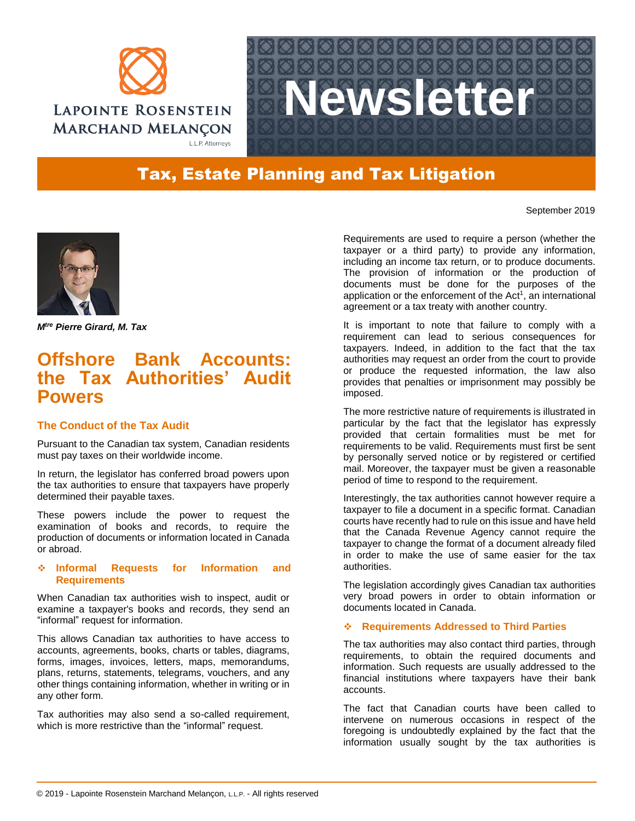



# Tax, Estate Planning and Tax Litigation

September 2019



*Mtre Pierre Girard, M. Tax*

# **Offshore Bank Accounts: the Tax Authorities' Audit Powers**

## **The Conduct of the Tax Audit**

Pursuant to the Canadian tax system, Canadian residents must pay taxes on their worldwide income.

In return, the legislator has conferred broad powers upon the tax authorities to ensure that taxpayers have properly determined their payable taxes.

These powers include the power to request the examination of books and records, to require the production of documents or information located in Canada or abroad.

## **Informal Requests for Information and Requirements**

When Canadian tax authorities wish to inspect, audit or examine a taxpayer's books and records, they send an "informal" request for information.

This allows Canadian tax authorities to have access to accounts, agreements, books, charts or tables, diagrams, forms, images, invoices, letters, maps, memorandums, plans, returns, statements, telegrams, vouchers, and any other things containing information, whether in writing or in any other form.

Tax authorities may also send a so-called requirement, which is more restrictive than the "informal" request.

Requirements are used to require a person (whether the taxpayer or a third party) to provide any information, including an income tax return, or to produce documents. The provision of information or the production of documents must be done for the purposes of the application or the enforcement of the Act<sup>1</sup>, an international agreement or a tax treaty with another country.

It is important to note that failure to comply with a requirement can lead to serious consequences for taxpayers. Indeed, in addition to the fact that the tax authorities may request an order from the court to provide or produce the requested information, the law also provides that penalties or imprisonment may possibly be imposed.

The more restrictive nature of requirements is illustrated in particular by the fact that the legislator has expressly provided that certain formalities must be met for requirements to be valid. Requirements must first be sent by personally served notice or by registered or certified mail. Moreover, the taxpayer must be given a reasonable period of time to respond to the requirement.

Interestingly, the tax authorities cannot however require a taxpayer to file a document in a specific format. Canadian courts have recently had to rule on this issue and have held that the Canada Revenue Agency cannot require the taxpayer to change the format of a document already filed in order to make the use of same easier for the tax authorities.

The legislation accordingly gives Canadian tax authorities very broad powers in order to obtain information or documents located in Canada.

## **Requirements Addressed to Third Parties**

The tax authorities may also contact third parties, through requirements, to obtain the required documents and information. Such requests are usually addressed to the financial institutions where taxpayers have their bank accounts.

The fact that Canadian courts have been called to intervene on numerous occasions in respect of the foregoing is undoubtedly explained by the fact that the information usually sought by the tax authorities is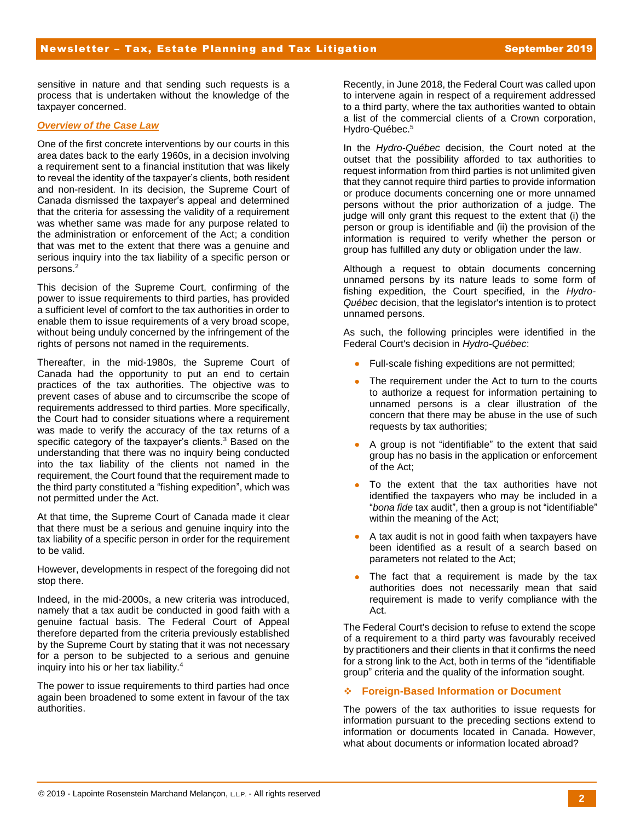sensitive in nature and that sending such requests is a process that is undertaken without the knowledge of the taxpayer concerned.

### *Overview of the Case Law*

One of the first concrete interventions by our courts in this area dates back to the early 1960s, in a decision involving a requirement sent to a financial institution that was likely to reveal the identity of the taxpayer's clients, both resident and non-resident. In its decision, the Supreme Court of Canada dismissed the taxpayer's appeal and determined that the criteria for assessing the validity of a requirement was whether same was made for any purpose related to the administration or enforcement of the Act; a condition that was met to the extent that there was a genuine and serious inquiry into the tax liability of a specific person or persons.<sup>2</sup>

This decision of the Supreme Court, confirming of the power to issue requirements to third parties, has provided a sufficient level of comfort to the tax authorities in order to enable them to issue requirements of a very broad scope, without being unduly concerned by the infringement of the rights of persons not named in the requirements.

Thereafter, in the mid-1980s, the Supreme Court of Canada had the opportunity to put an end to certain practices of the tax authorities. The objective was to prevent cases of abuse and to circumscribe the scope of requirements addressed to third parties. More specifically, the Court had to consider situations where a requirement was made to verify the accuracy of the tax returns of a specific category of the taxpayer's clients.<sup>3</sup> Based on the understanding that there was no inquiry being conducted into the tax liability of the clients not named in the requirement, the Court found that the requirement made to the third party constituted a "fishing expedition", which was not permitted under the Act.

At that time, the Supreme Court of Canada made it clear that there must be a serious and genuine inquiry into the tax liability of a specific person in order for the requirement to be valid.

However, developments in respect of the foregoing did not stop there.

Indeed, in the mid-2000s, a new criteria was introduced, namely that a tax audit be conducted in good faith with a genuine factual basis. The Federal Court of Appeal therefore departed from the criteria previously established by the Supreme Court by stating that it was not necessary for a person to be subjected to a serious and genuine inquiry into his or her tax liability.<sup>4</sup>

The power to issue requirements to third parties had once again been broadened to some extent in favour of the tax authorities.

Recently, in June 2018, the Federal Court was called upon to intervene again in respect of a requirement addressed to a third party, where the tax authorities wanted to obtain a list of the commercial clients of a Crown corporation, Hydro-Québec.<sup>5</sup>

In the *Hydro-Québec* decision, the Court noted at the outset that the possibility afforded to tax authorities to request information from third parties is not unlimited given that they cannot require third parties to provide information or produce documents concerning one or more unnamed persons without the prior authorization of a judge. The judge will only grant this request to the extent that (i) the person or group is identifiable and (ii) the provision of the information is required to verify whether the person or group has fulfilled any duty or obligation under the law.

Although a request to obtain documents concerning unnamed persons by its nature leads to some form of fishing expedition, the Court specified, in the *Hydro-Québec* decision, that the legislator's intention is to protect unnamed persons.

As such, the following principles were identified in the Federal Court's decision in *Hydro-Québec*:

- Full-scale fishing expeditions are not permitted;
- The requirement under the Act to turn to the courts to authorize a request for information pertaining to unnamed persons is a clear illustration of the concern that there may be abuse in the use of such requests by tax authorities;
- A group is not "identifiable" to the extent that said group has no basis in the application or enforcement of the Act;
- To the extent that the tax authorities have not identified the taxpayers who may be included in a "*bona fide* tax audit", then a group is not "identifiable" within the meaning of the Act;
- A tax audit is not in good faith when taxpayers have been identified as a result of a search based on parameters not related to the Act;
- The fact that a requirement is made by the tax authorities does not necessarily mean that said requirement is made to verify compliance with the Act.

The Federal Court's decision to refuse to extend the scope of a requirement to a third party was favourably received by practitioners and their clients in that it confirms the need for a strong link to the Act, both in terms of the "identifiable group" criteria and the quality of the information sought.

### **Foreign-Based Information or Document**

The powers of the tax authorities to issue requests for information pursuant to the preceding sections extend to information or documents located in Canada. However, what about documents or information located abroad?